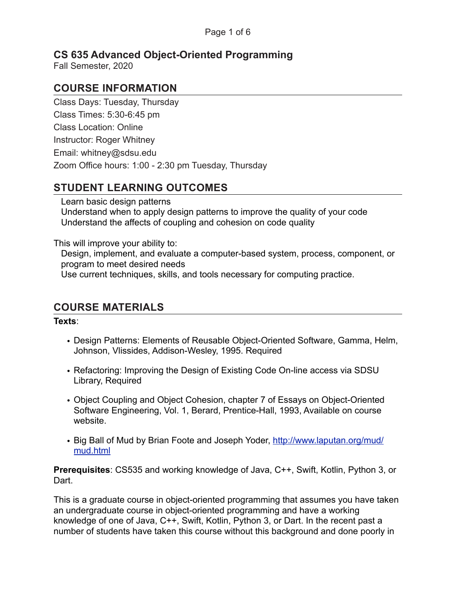# **CS 635 Advanced Object-Oriented Programming**

Fall Semester, 2020

## **COURSE INFORMATION**

Class Days: Tuesday, Thursday Class Times: 5:30-6:45 pm Class Location: Online Instructor: Roger Whitney Email: whitney@sdsu.edu Zoom Office hours: 1:00 - 2:30 pm Tuesday, Thursday

## **STUDENT LEARNING OUTCOMES**

Learn basic design patterns Understand when to apply design patterns to improve the quality of your code Understand the affects of coupling and cohesion on code quality

This will improve your ability to:

Design, implement, and evaluate a computer-based system, process, component, or program to meet desired needs Use current techniques, skills, and tools necessary for computing practice.

### **COURSE MATERIALS**

#### **Texts**:

- Design Patterns: Elements of Reusable Object-Oriented Software, Gamma, Helm, Johnson, Vlissides, Addison-Wesley, 1995. Required
- Refactoring: Improving the Design of Existing Code On-line access via SDSU Library, Required
- Object Coupling and Object Cohesion, chapter 7 of Essays on Object-Oriented Software Engineering, Vol. 1, Berard, Prentice-Hall, 1993, Available on course website.
- [Big Ball of Mud](http://www.laputan.org/mud/mud.html) by Brian Foote and Joseph Yoder, [http://www.laputan.org/mud/](http://www.laputan.org/mud/mud.html) [mud.html](http://www.laputan.org/mud/mud.html)

**Prerequisites**: CS535 and working knowledge of Java, C++, Swift, Kotlin, Python 3, or Dart.

This is a graduate course in object-oriented programming that assumes you have taken an undergraduate course in object-oriented programming and have a working knowledge of one of Java, C++, Swift, Kotlin, Python 3, or Dart. In the recent past a number of students have taken this course without this background and done poorly in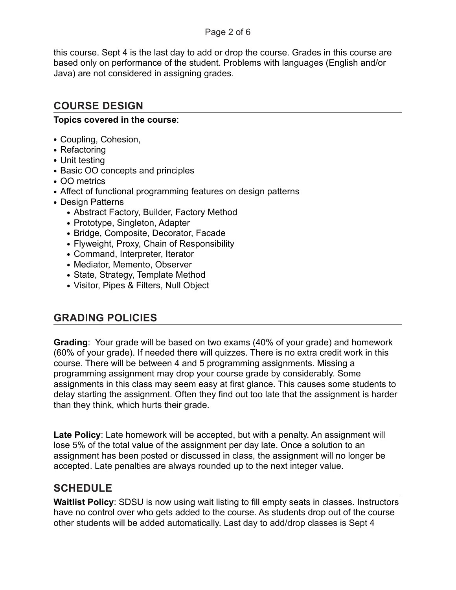#### Page 2 of 6

this course. Sept 4 is the last day to add or drop the course. Grades in this course are based only on performance of the student. Problems with languages (English and/or Java) are not considered in assigning grades.

# **COURSE DESIGN**

### **Topics covered in the course**:

- **•** Coupling, Cohesion,
- **•** Refactoring
- **•** Unit testing
- **•** Basic OO concepts and principles
- **•** OO metrics
- **•** Affect of functional programming features on design patterns
- **•** Design Patterns
	- **•** Abstract Factory, Builder, Factory Method
	- **•** Prototype, Singleton, Adapter
	- **•** Bridge, Composite, Decorator, Facade
	- **•** Flyweight, Proxy, Chain of Responsibility
	- **•** Command, Interpreter, Iterator
	- **•** Mediator, Memento, Observer
	- **•** State, Strategy, Template Method
	- **•** Visitor, Pipes & Filters, Null Object

### **GRADING POLICIES**

**Grading**: Your grade will be based on two exams (40% of your grade) and homework (60% of your grade). If needed there will quizzes. There is no extra credit work in this course. There will be between 4 and 5 programming assignments. Missing a programming assignment may drop your course grade by considerably. Some assignments in this class may seem easy at first glance. This causes some students to delay starting the assignment. Often they find out too late that the assignment is harder than they think, which hurts their grade.

**Late Policy**: Late homework will be accepted, but with a penalty. An assignment will lose 5% of the total value of the assignment per day late. Once a solution to an assignment has been posted or discussed in class, the assignment will no longer be accepted. Late penalties are always rounded up to the next integer value.

### **SCHEDULE**

**Waitlist Policy**: SDSU is now using wait listing to fill empty seats in classes. Instructors have no control over who gets added to the course. As students drop out of the course other students will be added automatically. Last day to add/drop classes is Sept 4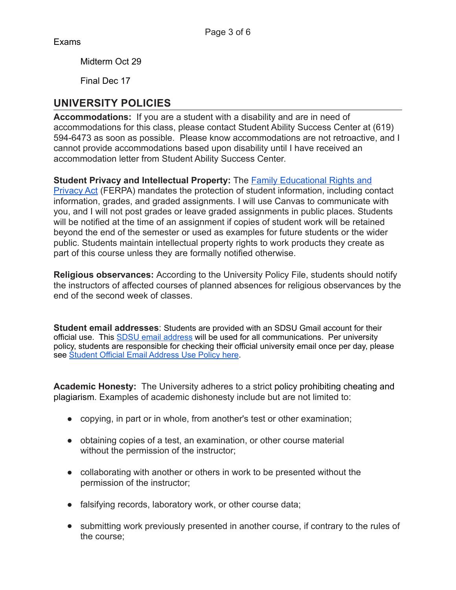Exams

Midterm Oct 29

Final Dec 17

## **UNIVERSITY POLICIES**

**Accommodations:** If you are a student with a disability and are in need of accommodations for this class, please contact Student Ability Success Center at (619) 594-6473 as soon as possible. Please know accommodations are not retroactive, and I cannot provide accommodations based upon disability until I have received an accommodation letter from Student Ability Success Center.

**Student Privacy and Intellectual Property:** The [Family Educational Rights and](http://bfa.sdsu.edu/hr/oerc/students/ferpa.aspx) 

[Privacy Act](http://bfa.sdsu.edu/hr/oerc/students/ferpa.aspx) (FERPA) mandates the protection of student information, including contact information, grades, and graded assignments. I will use Canvas to communicate with you, and I will not post grades or leave graded assignments in public places. Students will be notified at the time of an assignment if copies of student work will be retained beyond the end of the semester or used as examples for future students or the wider public. Students maintain intellectual property rights to work products they create as part of this course unless they are formally notified otherwise.

**Religious observances:** According to the University Policy File, students should notify the instructors of affected courses of planned absences for religious observances by the end of the second week of classes.

**Student email addresses**: Students are provided with an SDSU Gmail account for their official use. This **SDSU** email address will be used for all communications. Per university policy, students are responsible for checking their official university email once per day, please see [Student Official Email Address Use Policy here.](https://senate.sdsu.edu/policy-file/policies/facilities#collapsed20e126_12)

**Academic Honesty:** The University adheres to a strict [policy prohibiting cheating and](http://go.sdsu.edu/student_affairs/srr/cheating-plagiarism.aspx)  [plagiarism.](http://go.sdsu.edu/student_affairs/srr/cheating-plagiarism.aspx) Examples of academic dishonesty include but are not limited to:

- copying, in part or in whole, from another's test or other examination;
- obtaining copies of a test, an examination, or other course material without the permission of the instructor;
- collaborating with another or others in work to be presented without the permission of the instructor;
- falsifying records, laboratory work, or other course data;
- submitting work previously presented in another course, if contrary to the rules of the course;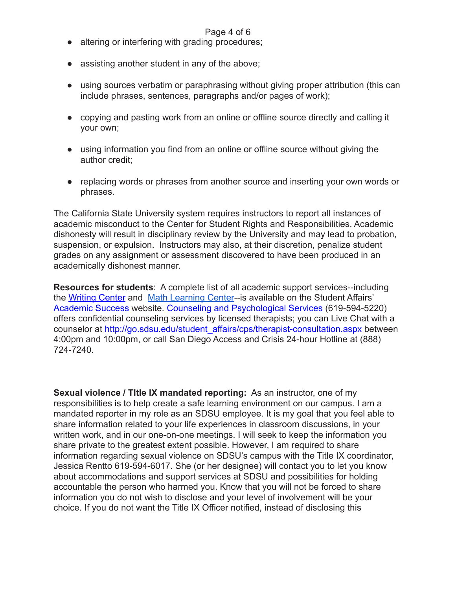#### Page 4 of 6

- altering or interfering with grading procedures;
- assisting another student in any of the above;
- using sources verbatim or paraphrasing without giving proper attribution (this can include phrases, sentences, paragraphs and/or pages of work);
- copying and pasting work from an online or offline source directly and calling it your own;
- using information you find from an online or offline source without giving the author credit;
- replacing words or phrases from another source and inserting your own words or phrases.

The California State University system requires instructors to report all instances of academic misconduct to the Center for Student Rights and Responsibilities. Academic dishonesty will result in disciplinary review by the University and may lead to probation, suspension, or expulsion. Instructors may also, at their discretion, penalize student grades on any assignment or assessment discovered to have been produced in an academically dishonest manner.

**Resources for students**: A complete list of all academic support services--including the [Writing Center](http://writingcenter.sdsu.edu/) and [Math Learning Center-](https://mlc.sdsu.edu)-is available on the Student Affairs' [Academic Success](http://go.sdsu.edu/student_affairs/academic_success.aspx) website. [Counseling and Psychological Services](http://go.sdsu.edu/student_affairs/cps/Default.aspx) (619-594-5220) offers confidential counseling services by licensed therapists; you can Live Chat with a counselor at [http://go.sdsu.edu/student\\_affairs/cps/therapist-consultation.aspx](http://go.sdsu.edu/student_affairs/cps/therapist-consultation.aspx) between 4:00pm and 10:00pm, or call San Diego Access and Crisis 24-hour Hotline at (888) 724-7240.

**Sexual violence / TItle IX mandated reporting:** As an instructor, one of my responsibilities is to help create a safe learning environment on our campus. I am a mandated reporter in my role as an SDSU employee. It is my goal that you feel able to share information related to your life experiences in classroom discussions, in your written work, and in our one-on-one meetings. I will seek to keep the information you share private to the greatest extent possible. However, I am required to share information regarding sexual violence on SDSU's campus with the Title IX coordinator, Jessica Rentto 619-594-6017. She (or her designee) will contact you to let you know about accommodations and support services at SDSU and possibilities for holding accountable the person who harmed you. Know that you will not be forced to share information you do not wish to disclose and your level of involvement will be your choice. If you do not want the Title IX Officer notified, instead of disclosing this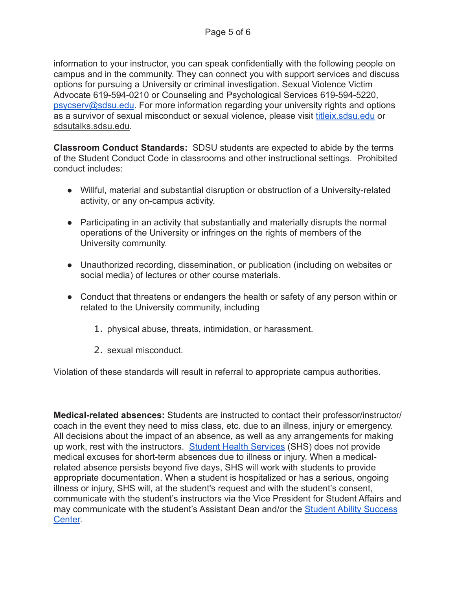information to your instructor, you can speak confidentially with the following people on campus and in the community. They can connect you with support services and discuss options for pursuing a University or criminal investigation. Sexual Violence Victim Advocate 619-594-0210 or Counseling and Psychological Services 619-594-5220, [psycserv@sdsu.edu](mailto:psycserv@sdsu.edu). For more information regarding your university rights and options as a survivor of sexual misconduct or sexual violence, please visit [titleix.sdsu.edu](http://titleix.sdsu.edu/) or [sdsutalks.sdsu.edu](http://sdsutalks.sdsu.edu/).

**Classroom Conduct Standards:** SDSU students are expected to abide by the terms of the Student Conduct Code in classrooms and other instructional settings. Prohibited conduct includes:

- Willful, material and substantial disruption or obstruction of a University-related activity, or any on-campus activity.
- Participating in an activity that substantially and materially disrupts the normal operations of the University or infringes on the rights of members of the University community.
- Unauthorized recording, dissemination, or publication (including on websites or social media) of lectures or other course materials.
- Conduct that threatens or endangers the health or safety of any person within or related to the University community, including
	- 1. physical abuse, threats, intimidation, or harassment.
	- 2. sexual misconduct.

Violation of these standards will result in referral to appropriate campus authorities.

**Medical-related absences:** Students are instructed to contact their professor/instructor/ coach in the event they need to miss class, etc. due to an illness, injury or emergency. All decisions about the impact of an absence, as well as any arrangements for making up work, rest with the instructors. [Student Health Services](http://shs.sdsu.edu/index.asp) (SHS) does not provide medical excuses for short-term absences due to illness or injury. When a medicalrelated absence persists beyond five days, SHS will work with students to provide appropriate documentation. When a student is hospitalized or has a serious, ongoing illness or injury, SHS will, at the student's request and with the student's consent, communicate with the student's instructors via the Vice President for Student Affairs and may communicate with the student's Assistant Dean and/or the [Student Ability Success](http://go.sdsu.edu/student_affairs/sds/)  [Center.](http://go.sdsu.edu/student_affairs/sds/)